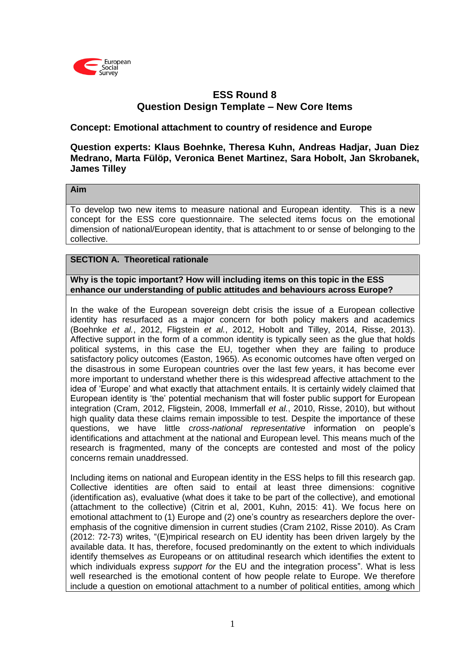

# **ESS Round 8 Question Design Template – New Core Items**

### **Concept: Emotional attachment to country of residence and Europe**

### **Question experts: Klaus Boehnke, Theresa Kuhn, Andreas Hadjar, Juan Diez Medrano, Marta Fülöp, Veronica Benet Martinez, Sara Hobolt, Jan Skrobanek, James Tilley**

#### **Aim**

To develop two new items to measure national and European identity. This is a new concept for the ESS core questionnaire. The selected items focus on the emotional dimension of national/European identity, that is attachment to or sense of belonging to the collective.

### **SECTION A. Theoretical rationale**

**Why is the topic important? How will including items on this topic in the ESS enhance our understanding of public attitudes and behaviours across Europe?**

In the wake of the European sovereign debt crisis the issue of a European collective identity has resurfaced as a major concern for both policy makers and academics (Boehnke *et al.*, 2012, Fligstein *et al.*, 2012, Hobolt and Tilley, 2014, Risse, 2013). Affective support in the form of a common identity is typically seen as the glue that holds political systems, in this case the EU, together when they are failing to produce satisfactory policy outcomes (Easton, 1965). As economic outcomes have often verged on the disastrous in some European countries over the last few years, it has become ever more important to understand whether there is this widespread affective attachment to the idea of 'Europe' and what exactly that attachment entails. It is certainly widely claimed that European identity is 'the' potential mechanism that will foster public support for European integration (Cram, 2012, Fligstein, 2008, Immerfall *et al.*, 2010, Risse, 2010), but without high quality data these claims remain impossible to test. Despite the importance of these questions, we have little *cross-national representative* information on people's identifications and attachment at the national and European level. This means much of the research is fragmented, many of the concepts are contested and most of the policy concerns remain unaddressed.

Including items on national and European identity in the ESS helps to fill this research gap. Collective identities are often said to entail at least three dimensions: cognitive (identification as), evaluative (what does it take to be part of the collective), and emotional (attachment to the collective) (Citrin et al, 2001, Kuhn, 2015: 41). We focus here on emotional attachment to (1) Europe and (2) one's country as researchers deplore the overemphasis of the cognitive dimension in current studies (Cram 2102, Risse 2010). As Cram (2012: 72-73) writes, "(E)mpirical research on EU identity has been driven largely by the available data. It has, therefore, focused predominantly on the extent to which individuals identify themselves *as* Europeans or on attitudinal research which identifies the extent to which individuals express *support for* the EU and the integration process". What is less well researched is the emotional content of how people relate to Europe. We therefore include a question on emotional attachment to a number of political entities, among which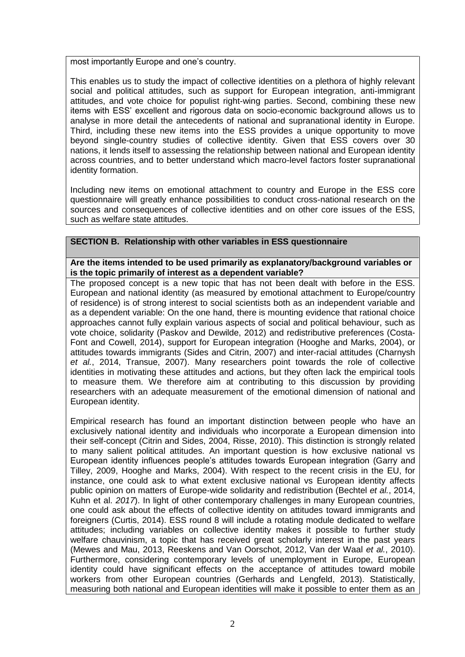most importantly Europe and one's country.

This enables us to study the impact of collective identities on a plethora of highly relevant social and political attitudes, such as support for European integration, anti-immigrant attitudes, and vote choice for populist right-wing parties. Second, combining these new items with ESS' excellent and rigorous data on socio-economic background allows us to analyse in more detail the antecedents of national and supranational identity in Europe. Third, including these new items into the ESS provides a unique opportunity to move beyond single-country studies of collective identity. Given that ESS covers over 30 nations, it lends itself to assessing the relationship between national and European identity across countries, and to better understand which macro-level factors foster supranational identity formation.

Including new items on emotional attachment to country and Europe in the ESS core questionnaire will greatly enhance possibilities to conduct cross-national research on the sources and consequences of collective identities and on other core issues of the ESS, such as welfare state attitudes.

### **SECTION B. Relationship with other variables in ESS questionnaire**

#### **Are the items intended to be used primarily as explanatory/background variables or is the topic primarily of interest as a dependent variable?**

The proposed concept is a new topic that has not been dealt with before in the ESS. European and national identity (as measured by emotional attachment to Europe/country of residence) is of strong interest to social scientists both as an independent variable and as a dependent variable: On the one hand, there is mounting evidence that rational choice approaches cannot fully explain various aspects of social and political behaviour, such as vote choice, solidarity (Paskov and Dewilde, 2012) and redistributive preferences (Costa-Font and Cowell, 2014), support for European integration (Hooghe and Marks, 2004), or attitudes towards immigrants (Sides and Citrin, 2007) and inter-racial attitudes (Charnysh *et al.*, 2014, Transue, 2007). Many researchers point towards the role of collective identities in motivating these attitudes and actions, but they often lack the empirical tools to measure them. We therefore aim at contributing to this discussion by providing researchers with an adequate measurement of the emotional dimension of national and European identity.

Empirical research has found an important distinction between people who have an exclusively national identity and individuals who incorporate a European dimension into their self-concept (Citrin and Sides, 2004, Risse, 2010). This distinction is strongly related to many salient political attitudes. An important question is how exclusive national vs European identity influences people's attitudes towards European integration (Garry and Tilley, 2009, Hooghe and Marks, 2004). With respect to the recent crisis in the EU, for instance, one could ask to what extent exclusive national vs European identity affects public opinion on matters of Europe-wide solidarity and redistribution (Bechtel *et al.*, 2014, Kuhn et al. *2017*). In light of other contemporary challenges in many European countries, one could ask about the effects of collective identity on attitudes toward immigrants and foreigners (Curtis, 2014). ESS round 8 will include a rotating module dedicated to welfare attitudes; including variables on collective identity makes it possible to further study welfare chauvinism, a topic that has received great scholarly interest in the past years (Mewes and Mau, 2013, Reeskens and Van Oorschot, 2012, Van der Waal *et al.*, 2010). Furthermore, considering contemporary levels of unemployment in Europe, European identity could have significant effects on the acceptance of attitudes toward mobile workers from other European countries (Gerhards and Lengfeld, 2013). Statistically, measuring both national and European identities will make it possible to enter them as an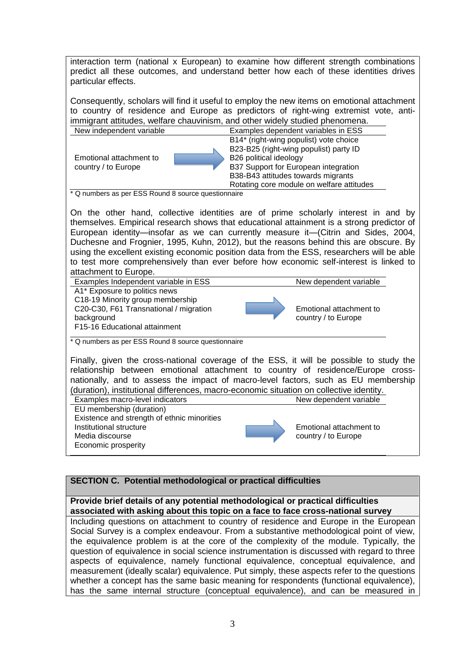interaction term (national x European) to examine how different strength combinations predict all these outcomes, and understand better how each of these identities drives particular effects.

Consequently, scholars will find it useful to employ the new items on emotional attachment to country of residence and Europe as predictors of right-wing extremist vote, antiimmigrant attitudes, welfare chauvinism, and other widely studied phenomena.

| New independent variable | Examples dependent variables in ESS       |
|--------------------------|-------------------------------------------|
|                          | B14* (right-wing populist) vote choice    |
|                          | B23-B25 (right-wing populist) party ID    |
| Emotional attachment to  | B26 political ideology                    |
| country / to Europe      | B37 Support for European integration      |
|                          | B38-B43 attitudes towards migrants        |
|                          | Rotating core module on welfare attitudes |

\* Q numbers as per ESS Round 8 source questionnaire

On the other hand, collective identities are of prime scholarly interest in and by themselves. Empirical research shows that educational attainment is a strong predictor of European identity—insofar as we can currently measure it—(Citrin and Sides, 2004, Duchesne and Frognier, 1995, Kuhn, 2012), but the reasons behind this are obscure. By using the excellent existing economic position data from the ESS, researchers will be able to test more comprehensively than ever before how economic self-interest is linked to attachment to Europe.

Examples Independent variable in ESS New dependent variable A1\* Exposure to politics news Emotional attachment to country / to Europe C18-19 Minority group membership C20-C30, F61 Transnational / migration background F15-16 Educational attainment \* Q numbers as per ESS Round 8 source questionnaire

Finally, given the cross-national coverage of the ESS, it will be possible to study the relationship between emotional attachment to country of residence/Europe crossnationally, and to assess the impact of macro-level factors, such as EU membership (duration), institutional differences, macro-economic situation on collective identity.

Examples macro-level indicators New dependent variable EU membership (duration) Emotional attachment to country / to Europe Existence and strength of ethnic minorities Institutional structure Media discourse Economic prosperity

## **SECTION C. Potential methodological or practical difficulties**

#### **Provide brief details of any potential methodological or practical difficulties associated with asking about this topic on a face to face cross-national survey**

Including questions on attachment to country of residence and Europe in the European Social Survey is a complex endeavour. From a substantive methodological point of view, the equivalence problem is at the core of the complexity of the module. Typically, the question of equivalence in social science instrumentation is discussed with regard to three aspects of equivalence, namely functional equivalence, conceptual equivalence, and measurement (ideally scalar) equivalence. Put simply, these aspects refer to the questions whether a concept has the same basic meaning for respondents (functional equivalence), has the same internal structure (conceptual equivalence), and can be measured in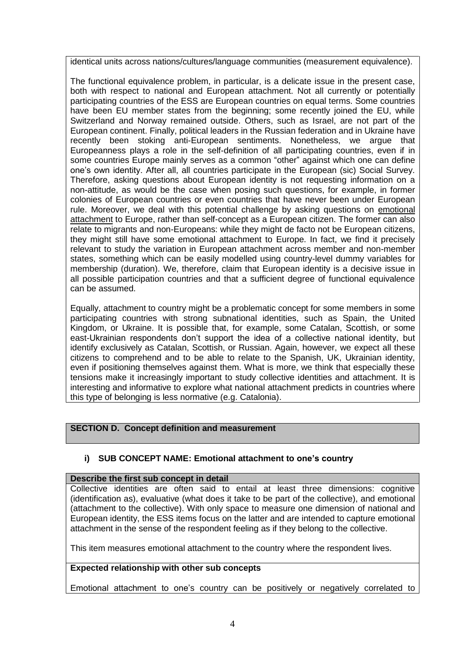identical units across nations/cultures/language communities (measurement equivalence).

The functional equivalence problem, in particular, is a delicate issue in the present case, both with respect to national and European attachment. Not all currently or potentially participating countries of the ESS are European countries on equal terms. Some countries have been EU member states from the beginning; some recently joined the EU, while Switzerland and Norway remained outside. Others, such as Israel, are not part of the European continent. Finally, political leaders in the Russian federation and in Ukraine have recently been stoking anti-European sentiments. Nonetheless, we argue that Europeanness plays a role in the self-definition of all participating countries, even if in some countries Europe mainly serves as a common "other" against which one can define one's own identity. After all, all countries participate in the European (sic) Social Survey. Therefore, asking questions about European identity is not requesting information on a non-attitude, as would be the case when posing such questions, for example, in former colonies of European countries or even countries that have never been under European rule. Moreover, we deal with this potential challenge by asking questions on emotional attachment to Europe, rather than self-concept as a European citizen. The former can also relate to migrants and non-Europeans: while they might de facto not be European citizens, they might still have some emotional attachment to Europe. In fact, we find it precisely relevant to study the variation in European attachment across member and non-member states, something which can be easily modelled using country-level dummy variables for membership (duration). We, therefore, claim that European identity is a decisive issue in all possible participation countries and that a sufficient degree of functional equivalence can be assumed.

Equally, attachment to country might be a problematic concept for some members in some participating countries with strong subnational identities, such as Spain, the United Kingdom, or Ukraine. It is possible that, for example, some Catalan, Scottish, or some east-Ukrainian respondents don't support the idea of a collective national identity, but identify exclusively as Catalan, Scottish, or Russian. Again, however, we expect all these citizens to comprehend and to be able to relate to the Spanish, UK, Ukrainian identity, even if positioning themselves against them. What is more, we think that especially these tensions make it increasingly important to study collective identities and attachment. It is interesting and informative to explore what national attachment predicts in countries where this type of belonging is less normative (e.g. Catalonia).

## **SECTION D. Concept definition and measurement**

### **i) SUB CONCEPT NAME: Emotional attachment to one's country**

#### **Describe the first sub concept in detail**

Collective identities are often said to entail at least three dimensions: cognitive (identification as), evaluative (what does it take to be part of the collective), and emotional (attachment to the collective). With only space to measure one dimension of national and European identity, the ESS items focus on the latter and are intended to capture emotional attachment in the sense of the respondent feeling as if they belong to the collective.

This item measures emotional attachment to the country where the respondent lives.

### **Expected relationship with other sub concepts**

Emotional attachment to one's country can be positively or negatively correlated to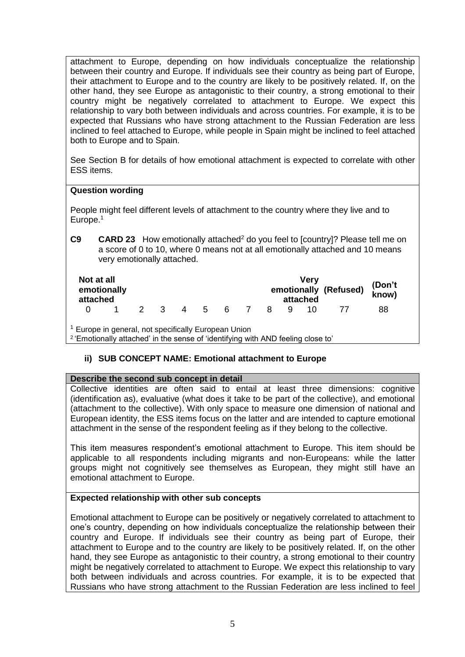attachment to Europe, depending on how individuals conceptualize the relationship between their country and Europe. If individuals see their country as being part of Europe, their attachment to Europe and to the country are likely to be positively related. If, on the other hand, they see Europe as antagonistic to their country, a strong emotional to their country might be negatively correlated to attachment to Europe. We expect this relationship to vary both between individuals and across countries. For example, it is to be expected that Russians who have strong attachment to the Russian Federation are less inclined to feel attached to Europe, while people in Spain might be inclined to feel attached both to Europe and to Spain.

See Section B for details of how emotional attachment is expected to correlate with other ESS items.

### **Question wording**

People might feel different levels of attachment to the country where they live and to Europe.<sup>1</sup>

**C9 CARD 23** How emotionally attached<sup>2</sup> do you feel to [country]? Please tell me on a score of 0 to 10, where 0 means not at all emotionally attached and 10 means very emotionally attached.

| Not at all<br>emotionally<br>attached |  |     |     |    |                |    |   | Verv<br>attached | emotionally (Refused) | (Don't<br>know) |
|---------------------------------------|--|-----|-----|----|----------------|----|---|------------------|-----------------------|-----------------|
|                                       |  | 2 3 | 4 5 | 6. | $\overline{7}$ | -8 | q |                  |                       | 88              |

<sup>1</sup> Europe in general, not specifically European Union

<sup>2</sup>'Emotionally attached' in the sense of 'identifying with AND feeling close to'

## **ii) SUB CONCEPT NAME: Emotional attachment to Europe**

### **Describe the second sub concept in detail**

Collective identities are often said to entail at least three dimensions: cognitive (identification as), evaluative (what does it take to be part of the collective), and emotional (attachment to the collective). With only space to measure one dimension of national and European identity, the ESS items focus on the latter and are intended to capture emotional attachment in the sense of the respondent feeling as if they belong to the collective.

This item measures respondent's emotional attachment to Europe. This item should be applicable to all respondents including migrants and non-Europeans: while the latter groups might not cognitively see themselves as European, they might still have an emotional attachment to Europe.

### **Expected relationship with other sub concepts**

Emotional attachment to Europe can be positively or negatively correlated to attachment to one's country, depending on how individuals conceptualize the relationship between their country and Europe. If individuals see their country as being part of Europe, their attachment to Europe and to the country are likely to be positively related. If, on the other hand, they see Europe as antagonistic to their country, a strong emotional to their country might be negatively correlated to attachment to Europe. We expect this relationship to vary both between individuals and across countries. For example, it is to be expected that Russians who have strong attachment to the Russian Federation are less inclined to feel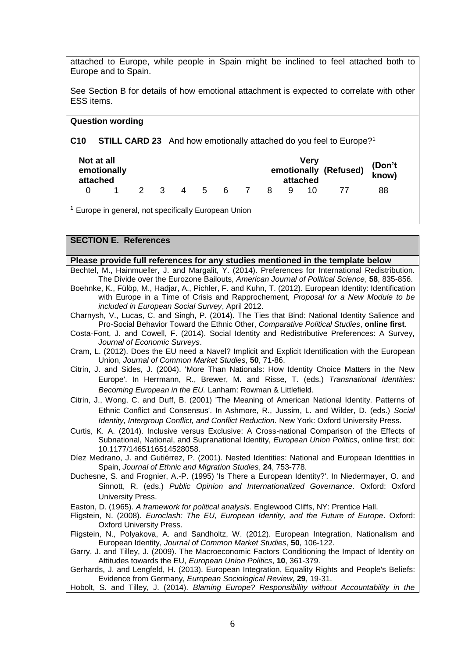attached to Europe, while people in Spain might be inclined to feel attached both to Europe and to Spain.

See Section B for details of how emotional attachment is expected to correlate with other ESS items.

#### **Question wording**

**C10 STILL CARD 23** And how emotionally attached do you feel to Europe?<sup>1</sup>

| Not at all<br>emotionally<br>attached |  |  |     |  |     |     |    |     | <b>Verv</b><br>attached | emotionally (Refused) | (Don't<br>know) |
|---------------------------------------|--|--|-----|--|-----|-----|----|-----|-------------------------|-----------------------|-----------------|
|                                       |  |  | 2 3 |  | 4 5 | - 6 | -8 | - Q |                         |                       | 88              |

<sup>1</sup> Europe in general, not specifically European Union

#### **SECTION E. References**

**Please provide full references for any studies mentioned in the template below**

- Bechtel, M., Hainmueller, J. and Margalit, Y. (2014). Preferences for International Redistribution. The Divide over the Eurozone Bailouts, *American Journal of Political Science*, **58**, 835-856.
- Boehnke, K., Fülöp, M., Hadjar, A., Pichler, F. and Kuhn, T. (2012). European Identity: Identification with Europe in a Time of Crisis and Rapprochement, *Proposal for a New Module to be included in European Social Survey*, April 2012.

Charnysh, V., Lucas, C. and Singh, P. (2014). The Ties that Bind: National Identity Salience and Pro-Social Behavior Toward the Ethnic Other, *Comparative Political Studies*, **online first**.

- Costa-Font, J. and Cowell, F. (2014). Social Identity and Redistributive Preferences: A Survey, *Journal of Economic Surveys*.
- Cram, L. (2012). Does the EU need a Navel? Implicit and Explicit Identification with the European Union, *Journal of Common Market Studies*, **50**, 71-86.
- Citrin, J. and Sides, J. (2004). 'More Than Nationals: How Identity Choice Matters in the New Europe'. In Herrmann, R., Brewer, M. and Risse, T. (eds.) *Transnational Identities: Becoming European in the EU.* Lanham: Rowman & Littlefield.
- Citrin, J., Wong, C. and Duff, B. (2001) 'The Meaning of American National Identity. Patterns of Ethnic Conflict and Consensus'. In Ashmore, R., Jussim, L. and Wilder, D. (eds.) *Social Identity, Intergroup Conflict, and Conflict Reduction.* New York: Oxford University Press.
- Curtis, K. A. (2014). Inclusive versus Exclusive: A Cross-national Comparison of the Effects of Subnational, National, and Supranational Identity, *European Union Politics*, online first; doi: 10.1177/1465116514528058.

Díez Medrano, J. and Gutiérrez, P. (2001). Nested Identities: National and European Identities in Spain, *Journal of Ethnic and Migration Studies*, **24**, 753-778.

Duchesne, S. and Frognier, A.-P. (1995) 'Is There a European Identity?'. In Niedermayer, O. and Sinnott, R. (eds.) *Public Opinion and Internationalized Governance*. Oxford: Oxford University Press.

Easton, D. (1965). *A framework for political analysis*. Englewood Cliffs, NY: Prentice Hall.

- Fligstein, N. (2008). *Euroclash: The EU, European Identity, and the Future of Europe*. Oxford: Oxford University Press.
- Fligstein, N., Polyakova, A. and Sandholtz, W. (2012). European Integration, Nationalism and European Identity, *Journal of Common Market Studies*, **50**, 106-122.
- Garry, J. and Tilley, J. (2009). The Macroeconomic Factors Conditioning the Impact of Identity on Attitudes towards the EU, *European Union Politics*, **10**, 361-379.

Gerhards, J. and Lengfeld, H. (2013). European Integration, Equality Rights and People's Beliefs: Evidence from Germany, *European Sociological Review*, **29**, 19-31.

Hobolt, S. and Tilley, J. (2014). *Blaming Europe? Responsibility without Accountability in the*